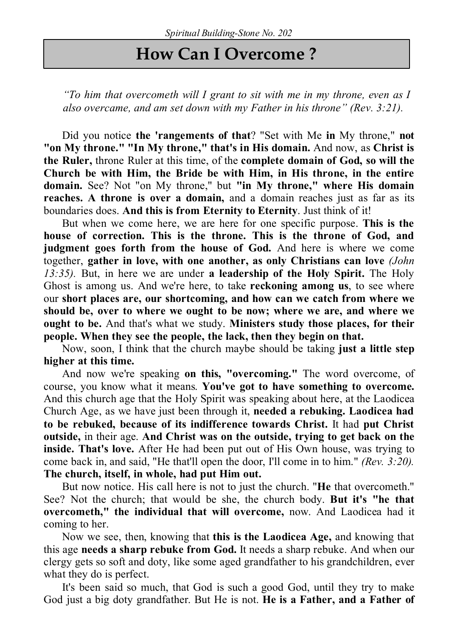## **How Can I Overcome ?**

*"To him that overcometh will I grant to sit with me in my throne, even as I also overcame, and am set down with my Father in his throne" (Rev. 3:21).*

Did you notice **the 'rangements of that**? "Set with Me **in** My throne," **not "on My throne." "In My throne," that's in His domain.** And now, as **Christ is the Ruler,** throne Ruler at this time, of the **complete domain of God, so will the Church be with Him, the Bride be with Him, in His throne, in the entire domain.** See? Not "on My throne," but **"in My throne," where His domain reaches. A throne is over a domain,** and a domain reaches just as far as its boundaries does. **And this is from Eternity to Eternity**. Just think of it!

But when we come here, we are here for one specific purpose. **This is the house of correction. This is the throne. This is the throne of God, and judgment goes forth from the house of God.** And here is where we come together, **gather in love, with one another, as only Christians can love** *(John 13:35).* But, in here we are under **a leadership of the Holy Spirit.** The Holy Ghost is among us. And we're here, to take **reckoning among us**, to see where our **short places are, our shortcoming, and how can we catch from where we should be, over to where we ought to be now; where we are, and where we ought to be.** And that's what we study. **Ministers study those places, for their people. When they see the people, the lack, then they begin on that.**

Now, soon, I think that the church maybe should be taking **just a little step higher at this time.** 

And now we're speaking **on this, "overcoming."** The word overcome, of course, you know what it means. **You've got to have something to overcome.** And this church age that the Holy Spirit was speaking about here, at the Laodicea Church Age, as we have just been through it, **needed a rebuking. Laodicea had to be rebuked, because of its indifference towards Christ.** It had **put Christ outside,** in their age. **And Christ was on the outside, trying to get back on the inside. That's love.** After He had been put out of His Own house, was trying to come back in, and said, "He that'll open the door, I'll come in to him." *(Rev. 3:20).* **The church, itself, in whole, had put Him out.**

But now notice. His call here is not to just the church. "**He** that overcometh." See? Not the church; that would be she, the church body. **But it's "he that overcometh," the individual that will overcome,** now. And Laodicea had it coming to her.

Now we see, then, knowing that **this is the Laodicea Age,** and knowing that this age **needs a sharp rebuke from God.** It needs a sharp rebuke. And when our clergy gets so soft and doty, like some aged grandfather to his grandchildren, ever what they do is perfect.

It's been said so much, that God is such a good God, until they try to make God just a big doty grandfather. But He is not. **He is a Father, and a Father of**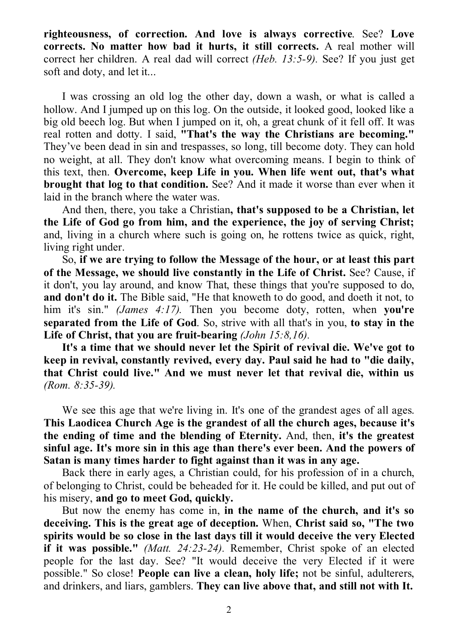**righteousness, of correction. And love is always corrective**. See? **Love corrects. No matter how bad it hurts, it still corrects.** A real mother will correct her children. A real dad will correct *(Heb. 13:5-9).* See? If you just get soft and doty, and let it...

I was crossing an old log the other day, down a wash, or what is called a hollow. And I jumped up on this log. On the outside, it looked good, looked like a big old beech log. But when I jumped on it, oh, a great chunk of it fell off. It was real rotten and dotty. I said, **"That's the way the Christians are becoming."** They've been dead in sin and trespasses, so long, till become doty. They can hold no weight, at all. They don't know what overcoming means. I begin to think of this text, then. **Overcome, keep Life in you. When life went out, that's what brought that log to that condition.** See? And it made it worse than ever when it laid in the branch where the water was.

And then, there, you take a Christian**, that's supposed to be a Christian, let the Life of God go from him, and the experience, the joy of serving Christ;** and, living in a church where such is going on, he rottens twice as quick, right, living right under.

So, **if we are trying to follow the Message of the hour, or at least this part of the Message, we should live constantly in the Life of Christ.** See? Cause, if it don't, you lay around, and know That, these things that you're supposed to do, **and don't do it.** The Bible said, "He that knoweth to do good, and doeth it not, to him it's sin." *(James 4:17).* Then you become doty, rotten, when **you're separated from the Life of God**. So, strive with all that's in you, **to stay in the Life of Christ, that you are fruit-bearing** *(John 15:8,16).*

**It's a time that we should never let the Spirit of revival die. We've got to keep in revival, constantly revived, every day. Paul said he had to "die daily, that Christ could live." And we must never let that revival die, within us**  *(Rom. 8:35-39).*

We see this age that we're living in. It's one of the grandest ages of all ages. **This Laodicea Church Age is the grandest of all the church ages, because it's the ending of time and the blending of Eternity.** And, then, **it's the greatest sinful age. It's more sin in this age than there's ever been. And the powers of Satan is many times harder to fight against than it was in any age.**

Back there in early ages, a Christian could, for his profession of in a church, of belonging to Christ, could be beheaded for it. He could be killed, and put out of his misery, **and go to meet God, quickly.**

But now the enemy has come in, **in the name of the church, and it's so deceiving. This is the great age of deception.** When, **Christ said so, "The two spirits would be so close in the last days till it would deceive the very Elected if it was possible."** *(Matt. 24:23-24).* Remember, Christ spoke of an elected people for the last day. See? "It would deceive the very Elected if it were possible." So close! **People can live a clean, holy life;** not be sinful, adulterers, and drinkers, and liars, gamblers. **They can live above that, and still not with It.**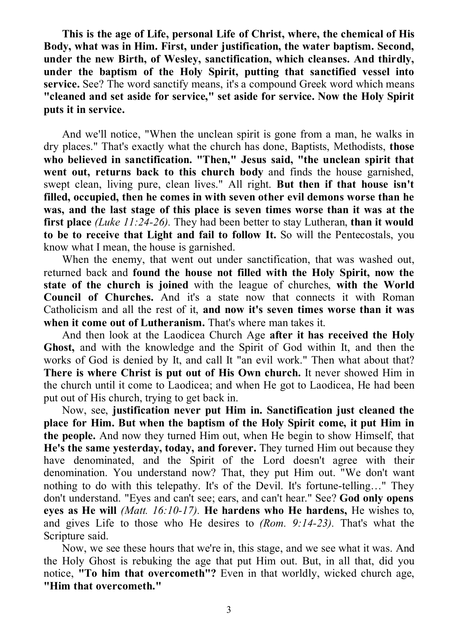**This is the age of Life, personal Life of Christ, where, the chemical of His Body, what was in Him. First, under justification, the water baptism. Second, under the new Birth, of Wesley, sanctification, which cleanses. And thirdly, under the baptism of the Holy Spirit, putting that sanctified vessel into service.** See? The word sanctify means, it's a compound Greek word which means **"cleaned and set aside for service," set aside for service. Now the Holy Spirit puts it in service.**

And we'll notice, "When the unclean spirit is gone from a man, he walks in dry places." That's exactly what the church has done, Baptists, Methodists, **those who believed in sanctification. "Then," Jesus said, "the unclean spirit that went out, returns back to this church body** and finds the house garnished, swept clean, living pure, clean lives." All right. **But then if that house isn't filled, occupied, then he comes in with seven other evil demons worse than he was, and the last stage of this place is seven times worse than it was at the first place** *(Luke 11:24-26).* They had been better to stay Lutheran, **than it would to be to receive that Light and fail to follow It.** So will the Pentecostals, you know what I mean, the house is garnished.

When the enemy, that went out under sanctification, that was washed out, returned back and **found the house not filled with the Holy Spirit, now the state of the church is joined** with the league of churches, **with the World Council of Churches.** And it's a state now that connects it with Roman Catholicism and all the rest of it, **and now it's seven times worse than it was when it come out of Lutheranism.** That's where man takes it.

And then look at the Laodicea Church Age **after it has received the Holy Ghost,** and with the knowledge and the Spirit of God within It, and then the works of God is denied by It, and call It "an evil work." Then what about that? **There is where Christ is put out of His Own church.** It never showed Him in the church until it come to Laodicea; and when He got to Laodicea, He had been put out of His church, trying to get back in.

Now, see, **justification never put Him in. Sanctification just cleaned the place for Him. But when the baptism of the Holy Spirit come, it put Him in the people.** And now they turned Him out, when He begin to show Himself, that **He's the same yesterday, today, and forever.** They turned Him out because they have denominated, and the Spirit of the Lord doesn't agree with their denomination. You understand now? That, they put Him out. "We don't want nothing to do with this telepathy. It's of the Devil. It's fortune-telling…" They don't understand. "Eyes and can't see; ears, and can't hear." See? **God only opens eyes as He will** *(Matt. 16:10-17).* **He hardens who He hardens,** He wishes to, and gives Life to those who He desires to *(Rom. 9:14-23).* That's what the Scripture said.

Now, we see these hours that we're in, this stage, and we see what it was. And the Holy Ghost is rebuking the age that put Him out. But, in all that, did you notice, **"To him that overcometh"?** Even in that worldly, wicked church age, **"Him that overcometh."**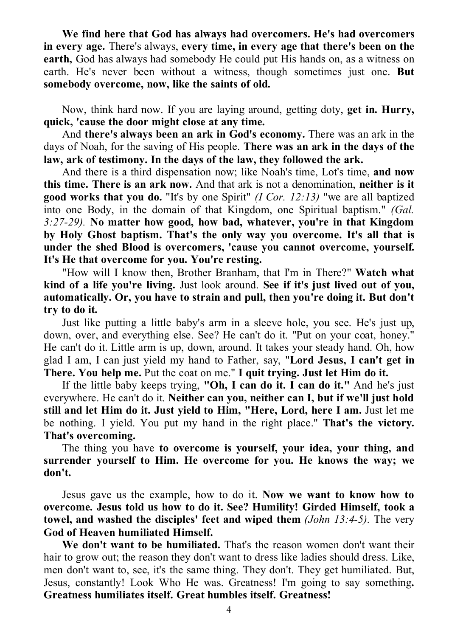**We find here that God has always had overcomers. He's had overcomers in every age.** There's always, **every time, in every age that there's been on the earth,** God has always had somebody He could put His hands on, as a witness on earth. He's never been without a witness, though sometimes just one. **But somebody overcome, now, like the saints of old.**

Now, think hard now. If you are laying around, getting doty, **get in. Hurry, quick, 'cause the door might close at any time.**

And **there's always been an ark in God's economy.** There was an ark in the days of Noah, for the saving of His people. **There was an ark in the days of the law, ark of testimony. In the days of the law, they followed the ark.**

And there is a third dispensation now; like Noah's time, Lot's time, **and now this time. There is an ark now.** And that ark is not a denomination, **neither is it good works that you do.** "It's by one Spirit" *(I Cor. 12:13)* "we are all baptized into one Body, in the domain of that Kingdom, one Spiritual baptism." *(Gal. 3:27-29).* **No matter how good, how bad, whatever, you're in that Kingdom by Holy Ghost baptism. That's the only way you overcome. It's all that is under the shed Blood is overcomers, 'cause you cannot overcome, yourself. It's He that overcome for you. You're resting.**

"How will I know then, Brother Branham, that I'm in There?" **Watch what kind of a life you're living.** Just look around. **See if it's just lived out of you, automatically. Or, you have to strain and pull, then you're doing it. But don't try to do it.**

Just like putting a little baby's arm in a sleeve hole, you see. He's just up, down, over, and everything else. See? He can't do it. "Put on your coat, honey." He can't do it. Little arm is up, down, around. It takes your steady hand. Oh, how glad I am, I can just yield my hand to Father, say, "**Lord Jesus, I can't get in There. You help me.** Put the coat on me." **I quit trying. Just let Him do it.**

If the little baby keeps trying, **"Oh, I can do it. I can do it."** And he's just everywhere. He can't do it. **Neither can you, neither can I, but if we'll just hold still and let Him do it. Just yield to Him, "Here, Lord, here I am.** Just let me be nothing. I yield. You put my hand in the right place." **That's the victory. That's overcoming.**

The thing you have **to overcome is yourself, your idea, your thing, and surrender yourself to Him. He overcome for you. He knows the way; we don't.**

Jesus gave us the example, how to do it. **Now we want to know how to overcome. Jesus told us how to do it. See? Humility! Girded Himself, took a towel, and washed the disciples' feet and wiped them** *(John 13:4-5).* The very **God of Heaven humiliated Himself.**

**We don't want to be humiliated.** That's the reason women don't want their hair to grow out; the reason they don't want to dress like ladies should dress. Like, men don't want to, see, it's the same thing. They don't. They get humiliated. But, Jesus, constantly! Look Who He was. Greatness! I'm going to say something**. Greatness humiliates itself. Great humbles itself. Greatness!**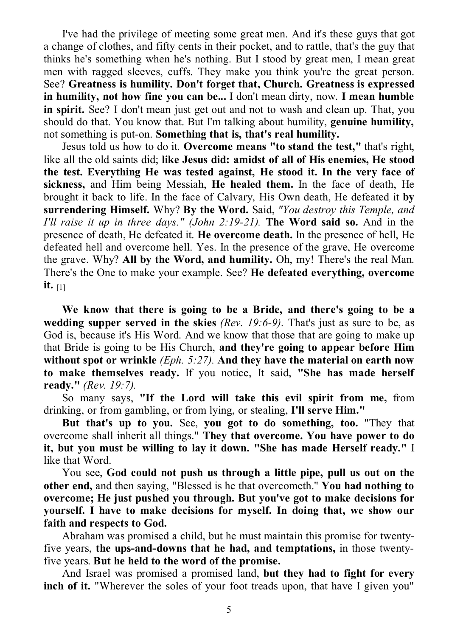I've had the privilege of meeting some great men. And it's these guys that got a change of clothes, and fifty cents in their pocket, and to rattle, that's the guy that thinks he's something when he's nothing. But I stood by great men, I mean great men with ragged sleeves, cuffs. They make you think you're the great person. See? **Greatness is humility. Don't forget that, Church. Greatness is expressed in humility, not how fine you can be...** I don't mean dirty, now. **I mean humble in spirit.** See? I don't mean just get out and not to wash and clean up. That, you should do that. You know that. But I'm talking about humility, **genuine humility,** not something is put-on. **Something that is, that's real humility.**

Jesus told us how to do it. **Overcome means "to stand the test,"** that's right, like all the old saints did; **like Jesus did: amidst of all of His enemies, He stood the test. Everything He was tested against, He stood it. In the very face of sickness,** and Him being Messiah, **He healed them.** In the face of death, He brought it back to life. In the face of Calvary, His Own death, He defeated it **by surrendering Himself.** Why? **By the Word.** Said, *"You destroy this Temple, and I'll raise it up in three days." (John 2:19-21).* **The Word said so.** And in the presence of death, He defeated it. **He overcome death.** In the presence of hell, He defeated hell and overcome hell. Yes. In the presence of the grave, He overcome the grave. Why? **All by the Word, and humility.** Oh, my! There's the real Man. There's the One to make your example. See? **He defeated everything, overcome it.** [1]

**We know that there is going to be a Bride, and there's going to be a wedding supper served in the skies** *(Rev. 19:6-9).* That's just as sure to be, as God is, because it's His Word. And we know that those that are going to make up that Bride is going to be His Church, **and they're going to appear before Him without spot or wrinkle** *(Eph. 5:27).* **And they have the material on earth now to make themselves ready.** If you notice, It said, **"She has made herself ready."** *(Rev. 19:7).*

So many says, **"If the Lord will take this evil spirit from me,** from drinking, or from gambling, or from lying, or stealing, **I'll serve Him."**

**But that's up to you.** See, **you got to do something, too.** "They that overcome shall inherit all things." **They that overcome. You have power to do it, but you must be willing to lay it down. "She has made Herself ready."** I like that Word.

You see, **God could not push us through a little pipe, pull us out on the other end,** and then saying, "Blessed is he that overcometh." **You had nothing to overcome; He just pushed you through. But you've got to make decisions for yourself. I have to make decisions for myself. In doing that, we show our faith and respects to God.**

Abraham was promised a child, but he must maintain this promise for twentyfive years, **the ups-and-downs that he had, and temptations,** in those twentyfive years. **But he held to the word of the promise.**

And Israel was promised a promised land, **but they had to fight for every inch of it.** "Wherever the soles of your foot treads upon, that have I given you"